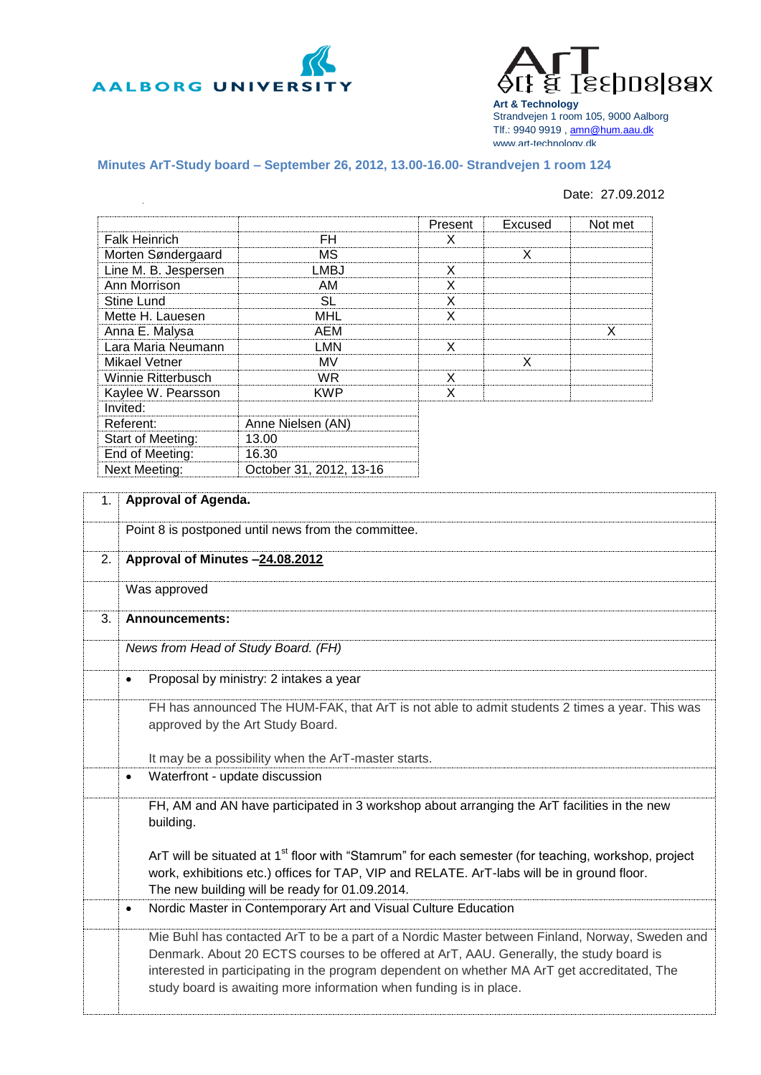



**Art & Technology** Strandvejen 1 room 105, 9000 Aalborg Tlf.: 9940 9919 , [amn@hum.aau.dk](mailto:amn@hum.aau.dk) www.art-technology.dk

## **Minutes ArT-Study board – September 26, 2012, 13.00-16.00- Strandvejen 1 room 124**

## Date: 27.09.2012

|                      |                         | Present | Excused | Not met |
|----------------------|-------------------------|---------|---------|---------|
| <b>Falk Heinrich</b> | FH                      | X       |         |         |
| Morten Søndergaard   | МS                      |         | X       |         |
| Line M. B. Jespersen | LMBJ                    | X       |         |         |
| Ann Morrison         | AM                      | X       |         |         |
| Stine Lund           | SL                      | x       |         |         |
| Mette H. Lauesen     | MHL                     | X       |         |         |
| Anna E. Malysa       | AEM                     |         |         | X       |
| Lara Maria Neumann   | LMN                     | X       |         |         |
| Mikael Vetner        | MV                      |         | X       |         |
| Winnie Ritterbusch   | WR.                     | X       |         |         |
| Kaylee W. Pearsson   | KWP                     | X       |         |         |
| Invited:             |                         |         |         |         |
| Referent:            | Anne Nielsen (AN)       |         |         |         |
| Start of Meeting:    | 13.00                   |         |         |         |
| End of Meeting:      | 16.30                   |         |         |         |
| <b>Next Meeting:</b> | October 31, 2012, 13-16 |         |         |         |

| 1. | Approval of Agenda.                                                                                                                                                                                                                                                                                                                                             |
|----|-----------------------------------------------------------------------------------------------------------------------------------------------------------------------------------------------------------------------------------------------------------------------------------------------------------------------------------------------------------------|
|    | Point 8 is postponed until news from the committee.                                                                                                                                                                                                                                                                                                             |
| 2. | Approval of Minutes -24.08.2012                                                                                                                                                                                                                                                                                                                                 |
|    | Was approved                                                                                                                                                                                                                                                                                                                                                    |
| 3. | Announcements:                                                                                                                                                                                                                                                                                                                                                  |
|    | News from Head of Study Board. (FH)                                                                                                                                                                                                                                                                                                                             |
|    | Proposal by ministry: 2 intakes a year<br>$\bullet$                                                                                                                                                                                                                                                                                                             |
|    | FH has announced The HUM-FAK, that ArT is not able to admit students 2 times a year. This was<br>approved by the Art Study Board.                                                                                                                                                                                                                               |
|    | It may be a possibility when the ArT-master starts.                                                                                                                                                                                                                                                                                                             |
|    | Waterfront - update discussion<br>$\bullet$                                                                                                                                                                                                                                                                                                                     |
|    | FH, AM and AN have participated in 3 workshop about arranging the ArT facilities in the new<br>building.                                                                                                                                                                                                                                                        |
|    | ArT will be situated at 1 <sup>st</sup> floor with "Stamrum" for each semester (for teaching, workshop, project<br>work, exhibitions etc.) offices for TAP, VIP and RELATE. ArT-labs will be in ground floor.<br>The new building will be ready for 01.09.2014.                                                                                                 |
|    | Nordic Master in Contemporary Art and Visual Culture Education<br>$\bullet$                                                                                                                                                                                                                                                                                     |
|    | Mie Buhl has contacted ArT to be a part of a Nordic Master between Finland, Norway, Sweden and<br>Denmark. About 20 ECTS courses to be offered at ArT, AAU. Generally, the study board is<br>interested in participating in the program dependent on whether MA ArT get accreditated, The<br>study board is awaiting more information when funding is in place. |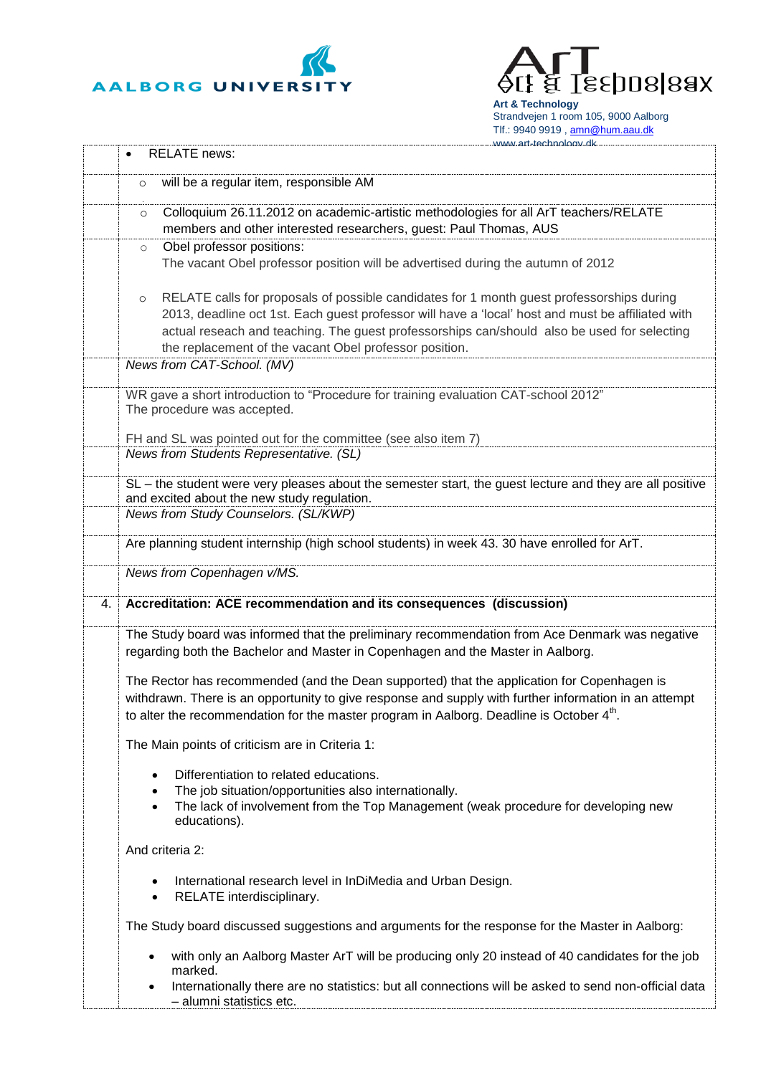



**Art & Technology** Strandvejen 1 room 105, 9000 Aalborg Tlf.: 9940 9919, [amn@hum.aau.dk](mailto:amn@hum.aau.dk)

|    | www.art-technology.dk                                                                                                                                                                                                                                                                                                                                                                            |
|----|--------------------------------------------------------------------------------------------------------------------------------------------------------------------------------------------------------------------------------------------------------------------------------------------------------------------------------------------------------------------------------------------------|
|    | <b>RELATE</b> news:                                                                                                                                                                                                                                                                                                                                                                              |
|    | will be a regular item, responsible AM<br>$\circ$                                                                                                                                                                                                                                                                                                                                                |
|    | Colloquium 26.11.2012 on academic-artistic methodologies for all ArT teachers/RELATE<br>$\circ$<br>members and other interested researchers, guest: Paul Thomas, AUS                                                                                                                                                                                                                             |
|    | Obel professor positions:<br>$\circ$                                                                                                                                                                                                                                                                                                                                                             |
|    | The vacant Obel professor position will be advertised during the autumn of 2012                                                                                                                                                                                                                                                                                                                  |
|    | RELATE calls for proposals of possible candidates for 1 month guest professorships during<br>$\circ$<br>2013, deadline oct 1st. Each guest professor will have a 'local' host and must be affiliated with<br>actual reseach and teaching. The guest professorships can/should also be used for selecting<br>the replacement of the vacant Obel professor position.<br>News from CAT-School. (MV) |
|    |                                                                                                                                                                                                                                                                                                                                                                                                  |
|    | WR gave a short introduction to "Procedure for training evaluation CAT-school 2012"<br>The procedure was accepted.                                                                                                                                                                                                                                                                               |
|    | FH and SL was pointed out for the committee (see also item 7)<br>News from Students Representative. (SL)                                                                                                                                                                                                                                                                                         |
|    | SL - the student were very pleases about the semester start, the guest lecture and they are all positive<br>and excited about the new study regulation.                                                                                                                                                                                                                                          |
|    | News from Study Counselors. (SL/KWP)                                                                                                                                                                                                                                                                                                                                                             |
|    | Are planning student internship (high school students) in week 43. 30 have enrolled for ArT.                                                                                                                                                                                                                                                                                                     |
|    | News from Copenhagen v/MS.                                                                                                                                                                                                                                                                                                                                                                       |
| 4. | Accreditation: ACE recommendation and its consequences (discussion)                                                                                                                                                                                                                                                                                                                              |
|    | The Study board was informed that the preliminary recommendation from Ace Denmark was negative<br>regarding both the Bachelor and Master in Copenhagen and the Master in Aalborg.                                                                                                                                                                                                                |
|    | The Rector has recommended (and the Dean supported) that the application for Copenhagen is<br>withdrawn. There is an opportunity to give response and supply with further information in an attempt<br>to alter the recommendation for the master program in Aalborg. Deadline is October 4 <sup>th</sup> .                                                                                      |
|    | The Main points of criticism are in Criteria 1:                                                                                                                                                                                                                                                                                                                                                  |
|    | Differentiation to related educations.<br>The job situation/opportunities also internationally.<br>The lack of involvement from the Top Management (weak procedure for developing new<br>educations).                                                                                                                                                                                            |
|    | And criteria 2:                                                                                                                                                                                                                                                                                                                                                                                  |
|    | International research level in InDiMedia and Urban Design.<br>$\bullet$<br>RELATE interdisciplinary.<br>$\bullet$                                                                                                                                                                                                                                                                               |
|    | The Study board discussed suggestions and arguments for the response for the Master in Aalborg:                                                                                                                                                                                                                                                                                                  |
|    | with only an Aalborg Master ArT will be producing only 20 instead of 40 candidates for the job<br>$\bullet$<br>marked.                                                                                                                                                                                                                                                                           |
|    | Internationally there are no statistics: but all connections will be asked to send non-official data<br>$\bullet$<br>- alumni statistics etc.                                                                                                                                                                                                                                                    |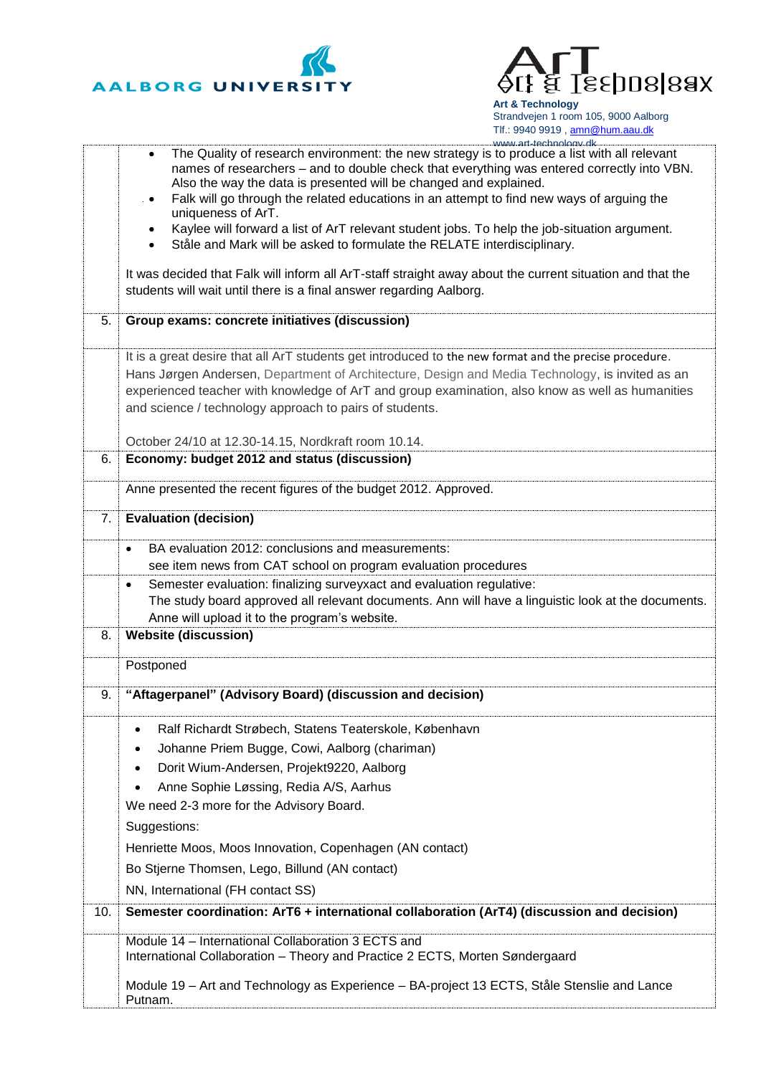



**Art & Technology** Strandvejen 1 room 105, 9000 Aalborg Tlf.: 9940 9919, [amn@hum.aau.dk](mailto:amn@hum.aau.dk)

|     | www.art-technology.dk<br>The Quality of research environment: the new strategy is to produce a list with all relevant |
|-----|-----------------------------------------------------------------------------------------------------------------------|
|     | names of researchers - and to double check that everything was entered correctly into VBN.                            |
|     | Also the way the data is presented will be changed and explained.                                                     |
|     | Falk will go through the related educations in an attempt to find new ways of arguing the<br>$\bullet$                |
|     | uniqueness of ArT.<br>Kaylee will forward a list of ArT relevant student jobs. To help the job-situation argument.    |
|     | $\bullet$<br>Ståle and Mark will be asked to formulate the RELATE interdisciplinary.                                  |
|     |                                                                                                                       |
|     | It was decided that Falk will inform all ArT-staff straight away about the current situation and that the             |
|     | students will wait until there is a final answer regarding Aalborg.                                                   |
|     |                                                                                                                       |
| 5.  | Group exams: concrete initiatives (discussion)                                                                        |
|     | It is a great desire that all ArT students get introduced to the new format and the precise procedure.                |
|     | Hans Jørgen Andersen, Department of Architecture, Design and Media Technology, is invited as an                       |
|     | experienced teacher with knowledge of ArT and group examination, also know as well as humanities                      |
|     | and science / technology approach to pairs of students.                                                               |
|     |                                                                                                                       |
|     | October 24/10 at 12.30-14.15, Nordkraft room 10.14.                                                                   |
| 6.  | Economy: budget 2012 and status (discussion)                                                                          |
|     | Anne presented the recent figures of the budget 2012. Approved.                                                       |
|     |                                                                                                                       |
| 7.  | <b>Evaluation (decision)</b>                                                                                          |
|     | BA evaluation 2012: conclusions and measurements:<br>$\bullet$                                                        |
|     | see item news from CAT school on program evaluation procedures                                                        |
|     | Semester evaluation: finalizing surveyxact and evaluation regulative:<br>$\bullet$                                    |
|     | The study board approved all relevant documents. Ann will have a linguistic look at the documents.                    |
|     | Anne will upload it to the program's website.                                                                         |
| 8.  | <b>Website (discussion)</b>                                                                                           |
|     | Postponed                                                                                                             |
| 9.  | "Aftagerpanel" (Advisory Board) (discussion and decision)                                                             |
|     |                                                                                                                       |
|     | Ralf Richardt Strøbech, Statens Teaterskole, København<br>$\bullet$                                                   |
|     | Johanne Priem Bugge, Cowi, Aalborg (chariman)<br>٠                                                                    |
|     | Dorit Wium-Andersen, Projekt9220, Aalborg                                                                             |
|     | Anne Sophie Løssing, Redia A/S, Aarhus<br>$\bullet$                                                                   |
|     | We need 2-3 more for the Advisory Board.                                                                              |
|     | Suggestions:                                                                                                          |
|     | Henriette Moos, Moos Innovation, Copenhagen (AN contact)                                                              |
|     | Bo Stjerne Thomsen, Lego, Billund (AN contact)                                                                        |
|     |                                                                                                                       |
|     | NN, International (FH contact SS)                                                                                     |
| 10. | Semester coordination: ArT6 + international collaboration (ArT4) (discussion and decision)                            |
|     | Module 14 - International Collaboration 3 ECTS and                                                                    |
|     | International Collaboration - Theory and Practice 2 ECTS, Morten Søndergaard                                          |
|     | Module 19 - Art and Technology as Experience - BA-project 13 ECTS, Ståle Stenslie and Lance                           |
|     |                                                                                                                       |